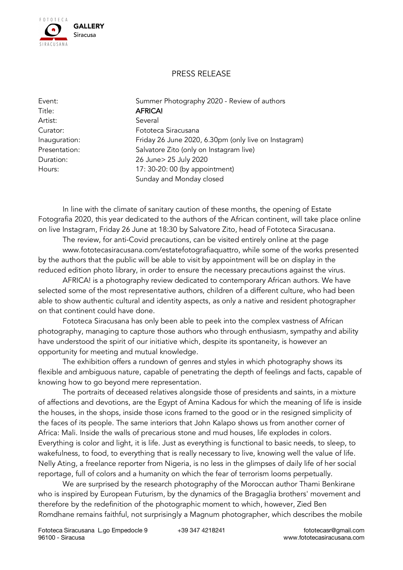

## PRESS RELEASE

Title: AFRICA! Artist: Several

Event: Summer Photography 2020 - Review of authors Curator: Fototeca Siracusana Inauguration: Friday 26 June 2020, 6.30pm (only live on Instagram) Presentation: Salvatore Zito (only on Instagram live) Duration: 26 June> 25 July 2020 Hours: 17: 30-20: 00 (by appointment) Sunday and Monday closed

In line with the climate of sanitary caution of these months, the opening of Estate Fotografia 2020, this year dedicated to the authors of the African continent, will take place online on live Instagram, Friday 26 June at 18:30 by Salvatore Zito, head of Fototeca Siracusana.

The review, for anti-Covid precautions, can be visited entirely online at the page www.fototecasiracusana.com/estatefotografiaquattro, while some of the works presented by the authors that the public will be able to visit by appointment will be on display in the reduced edition photo library, in order to ensure the necessary precautions against the virus.

AFRICA! is a photography review dedicated to contemporary African authors. We have selected some of the most representative authors, children of a different culture, who had been able to show authentic cultural and identity aspects, as only a native and resident photographer on that continent could have done.

Fototeca Siracusana has only been able to peek into the complex vastness of African photography, managing to capture those authors who through enthusiasm, sympathy and ability have understood the spirit of our initiative which, despite its spontaneity, is however an opportunity for meeting and mutual knowledge.

The exhibition offers a rundown of genres and styles in which photography shows its flexible and ambiguous nature, capable of penetrating the depth of feelings and facts, capable of knowing how to go beyond mere representation.

The portraits of deceased relatives alongside those of presidents and saints, in a mixture of affections and devotions, are the Egypt of Amina Kadous for which the meaning of life is inside the houses, in the shops, inside those icons framed to the good or in the resigned simplicity of the faces of its people. The same interiors that John Kalapo shows us from another corner of Africa: Mali. Inside the walls of precarious stone and mud houses, life explodes in colors. Everything is color and light, it is life. Just as everything is functional to basic needs, to sleep, to wakefulness, to food, to everything that is really necessary to live, knowing well the value of life. Nelly Ating, a freelance reporter from Nigeria, is no less in the glimpses of daily life of her social reportage, full of colors and a humanity on which the fear of terrorism looms perpetually.

We are surprised by the research photography of the Moroccan author Thami Benkirane who is inspired by European Futurism, by the dynamics of the Bragaglia brothers' movement and therefore by the redefinition of the photographic moment to which, however, Zied Ben Romdhane remains faithful, not surprisingly a Magnum photographer, which describes the mobile